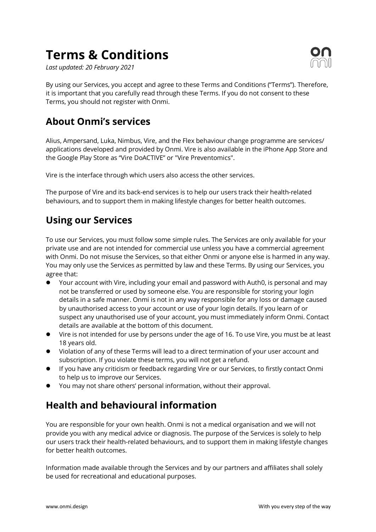# **Terms & Conditions**

*Last updated: 20 February 2021*



By using our Services, you accept and agree to these Terms and Conditions ("Terms"). Therefore, it is important that you carefully read through these Terms. If you do not consent to these Terms, you should not register with Onmi.

## **About Onmi's services**

Alius, Ampersand, Luka, Nimbus, Vire, and the Flex behaviour change programme are services/ applications developed and provided by Onmi. Vire is also available in the iPhone App Store and the Google Play Store as "Vire DoACTIVE" or "Vire Preventomics".

Vire is the interface through which users also access the other services.

The purpose of Vire and its back-end services is to help our users track their health-related behaviours, and to support them in making lifestyle changes for better health outcomes.

## **Using our Services**

To use our Services, you must follow some simple rules. The Services are only available for your private use and are not intended for commercial use unless you have a commercial agreement with Onmi. Do not misuse the Services, so that either Onmi or anyone else is harmed in any way. You may only use the Services as permitted by law and these Terms. By using our Services, you agree that:

- l Your account with Vire, including your email and password with Auth0, is personal and may not be transferred or used by someone else. You are responsible for storing your login details in a safe manner. Onmi is not in any way responsible for any loss or damage caused by unauthorised access to your account or use of your login details. If you learn of or suspect any unauthorised use of your account, you must immediately inform Onmi. Contact details are available at the bottom of this document.
- Vire is not intended for use by persons under the age of 16. To use Vire, you must be at least 18 years old.
- Violation of any of these Terms will lead to a direct termination of your user account and subscription. If you violate these terms, you will not get a refund.
- **•** If you have any criticism or feedback regarding Vire or our Services, to firstly contact Onmi to help us to improve our Services.
- l You may not share others' personal information, without their approval.

## **Health and behavioural information**

You are responsible for your own health. Onmi is not a medical organisation and we will not provide you with any medical advice or diagnosis. The purpose of the Services is solely to help our users track their health-related behaviours, and to support them in making lifestyle changes for better health outcomes.

Information made available through the Services and by our partners and affiliates shall solely be used for recreational and educational purposes.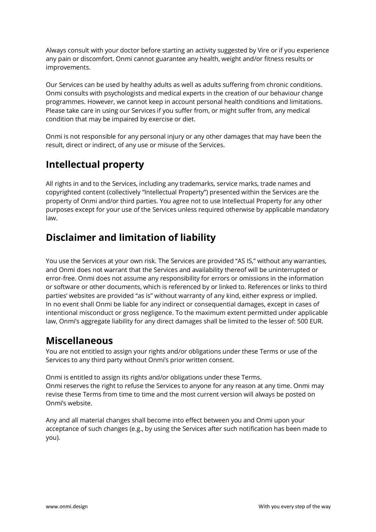Always consult with your doctor before starting an activity suggested by Vire or if you experience any pain or discomfort. Onmi cannot guarantee any health, weight and/or fitness results or improvements.

Our Services can be used by healthy adults as well as adults suffering from chronic conditions. Onmi consults with psychologists and medical experts in the creation of our behaviour change programmes. However, we cannot keep in account personal health conditions and limitations. Please take care in using our Services if you suffer from, or might suffer from, any medical condition that may be impaired by exercise or diet.

Onmi is not responsible for any personal injury or any other damages that may have been the result, direct or indirect, of any use or misuse of the Services.

#### **Intellectual property**

All rights in and to the Services, including any trademarks, service marks, trade names and copyrighted content (collectively "Intellectual Property") presented within the Services are the property of Onmi and/or third parties. You agree not to use Intellectual Property for any other purposes except for your use of the Services unless required otherwise by applicable mandatory law.

#### **Disclaimer and limitation of liability**

You use the Services at your own risk. The Services are provided "AS IS," without any warranties, and Onmi does not warrant that the Services and availability thereof will be uninterrupted or error-free. Onmi does not assume any responsibility for errors or omissions in the information or software or other documents, which is referenced by or linked to. References or links to third parties' websites are provided "as is" without warranty of any kind, either express or implied. In no event shall Onmi be liable for any indirect or consequential damages, except in cases of intentional misconduct or gross negligence. To the maximum extent permitted under applicable law, Onmi's aggregate liability for any direct damages shall be limited to the lesser of: 500 EUR.

#### **Miscellaneous**

You are not entitled to assign your rights and/or obligations under these Terms or use of the Services to any third party without Onmi's prior written consent.

Onmi is entitled to assign its rights and/or obligations under these Terms. Onmi reserves the right to refuse the Services to anyone for any reason at any time. Onmi may revise these Terms from time to time and the most current version will always be posted on Onmi's website.

Any and all material changes shall become into effect between you and Onmi upon your acceptance of such changes (e.g., by using the Services after such notification has been made to you).